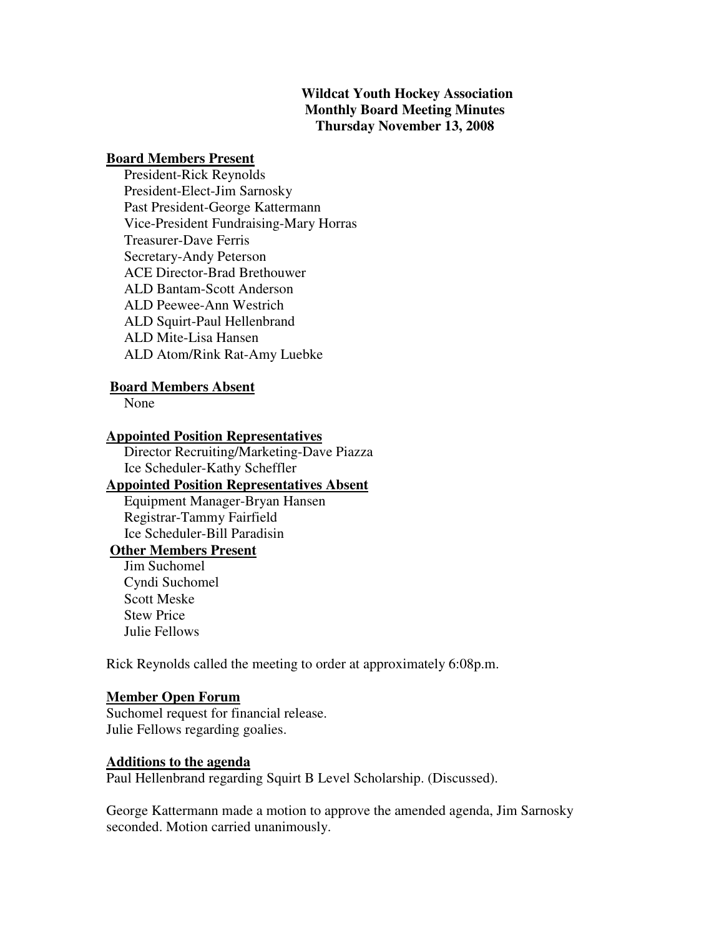### **Wildcat Youth Hockey Association Monthly Board Meeting Minutes Thursday November 13, 2008**

### **Board Members Present**

 President-Rick Reynolds President-Elect-Jim Sarnosky Past President-George Kattermann Vice-President Fundraising-Mary Horras Treasurer-Dave Ferris Secretary-Andy Peterson ACE Director-Brad Brethouwer ALD Bantam-Scott Anderson ALD Peewee-Ann Westrich ALD Squirt-Paul Hellenbrand ALD Mite-Lisa Hansen ALD Atom/Rink Rat-Amy Luebke

### **Board Members Absent**

None

### **Appointed Position Representatives**

 Director Recruiting/Marketing-Dave Piazza Ice Scheduler-Kathy Scheffler

# **Appointed Position Representatives Absent**

 Equipment Manager-Bryan Hansen Registrar-Tammy Fairfield Ice Scheduler-Bill Paradisin

## **Other Members Present**

 Jim Suchomel Cyndi Suchomel Scott Meske Stew Price Julie Fellows

Rick Reynolds called the meeting to order at approximately 6:08p.m.

#### **Member Open Forum**

Suchomel request for financial release. Julie Fellows regarding goalies.

### **Additions to the agenda**

Paul Hellenbrand regarding Squirt B Level Scholarship. (Discussed).

George Kattermann made a motion to approve the amended agenda, Jim Sarnosky seconded. Motion carried unanimously.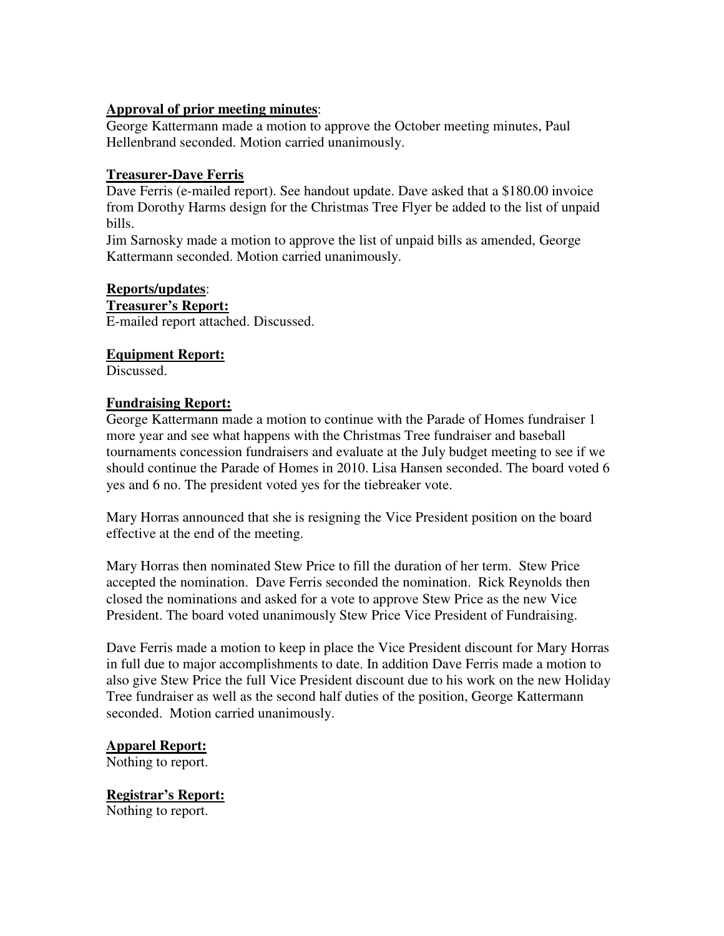### **Approval of prior meeting minutes**:

George Kattermann made a motion to approve the October meeting minutes, Paul Hellenbrand seconded. Motion carried unanimously.

### **Treasurer-Dave Ferris**

Dave Ferris (e-mailed report). See handout update. Dave asked that a \$180.00 invoice from Dorothy Harms design for the Christmas Tree Flyer be added to the list of unpaid bills.

Jim Sarnosky made a motion to approve the list of unpaid bills as amended, George Kattermann seconded. Motion carried unanimously.

### **Reports/updates**:

**Treasurer's Report:** E-mailed report attached. Discussed.

### **Equipment Report:**

Discussed.

### **Fundraising Report:**

George Kattermann made a motion to continue with the Parade of Homes fundraiser 1 more year and see what happens with the Christmas Tree fundraiser and baseball tournaments concession fundraisers and evaluate at the July budget meeting to see if we should continue the Parade of Homes in 2010. Lisa Hansen seconded. The board voted 6 yes and 6 no. The president voted yes for the tiebreaker vote.

Mary Horras announced that she is resigning the Vice President position on the board effective at the end of the meeting.

Mary Horras then nominated Stew Price to fill the duration of her term. Stew Price accepted the nomination. Dave Ferris seconded the nomination. Rick Reynolds then closed the nominations and asked for a vote to approve Stew Price as the new Vice President. The board voted unanimously Stew Price Vice President of Fundraising.

Dave Ferris made a motion to keep in place the Vice President discount for Mary Horras in full due to major accomplishments to date. In addition Dave Ferris made a motion to also give Stew Price the full Vice President discount due to his work on the new Holiday Tree fundraiser as well as the second half duties of the position, George Kattermann seconded. Motion carried unanimously.

### **Apparel Report:**

Nothing to report.

**Registrar's Report:** Nothing to report.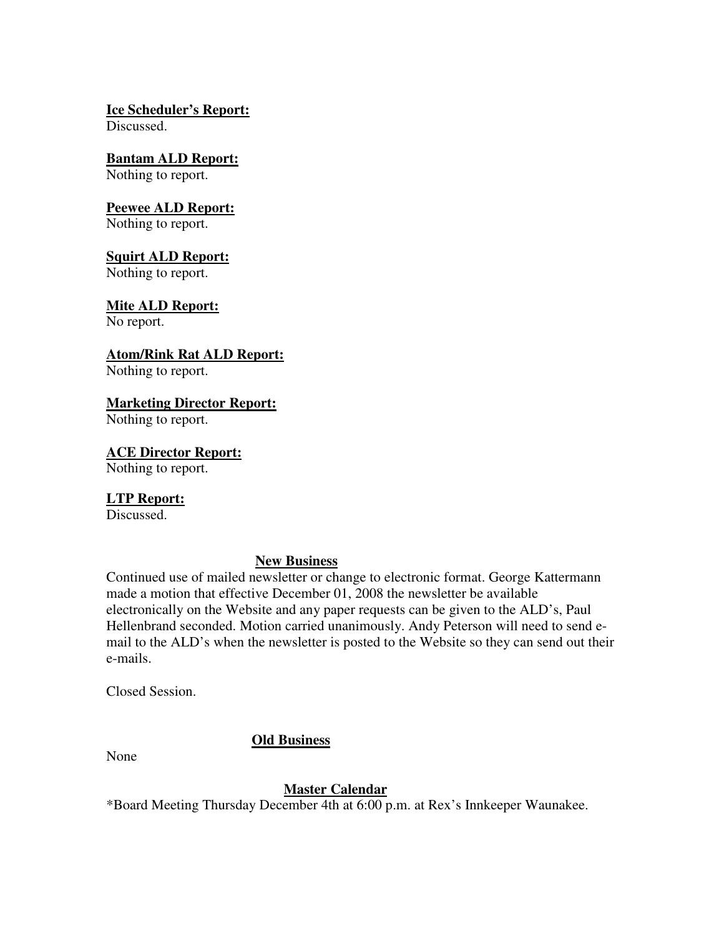**Ice Scheduler's Report:**

Discussed.

# **Bantam ALD Report:**

Nothing to report.

# **Peewee ALD Report:**

Nothing to report.

## **Squirt ALD Report:**

Nothing to report.

## **Mite ALD Report:**

No report.

# **Atom/Rink Rat ALD Report:**

Nothing to report.

# **Marketing Director Report:**

Nothing to report.

## **ACE Director Report:**

Nothing to report.

## **LTP Report:**

Discussed.

## **New Business**

Continued use of mailed newsletter or change to electronic format. George Kattermann made a motion that effective December 01, 2008 the newsletter be available electronically on the Website and any paper requests can be given to the ALD's, Paul Hellenbrand seconded. Motion carried unanimously. Andy Peterson will need to send email to the ALD's when the newsletter is posted to the Website so they can send out their e-mails.

Closed Session.

# **Old Business**

None

# **Master Calendar**

\*Board Meeting Thursday December 4th at 6:00 p.m. at Rex's Innkeeper Waunakee.